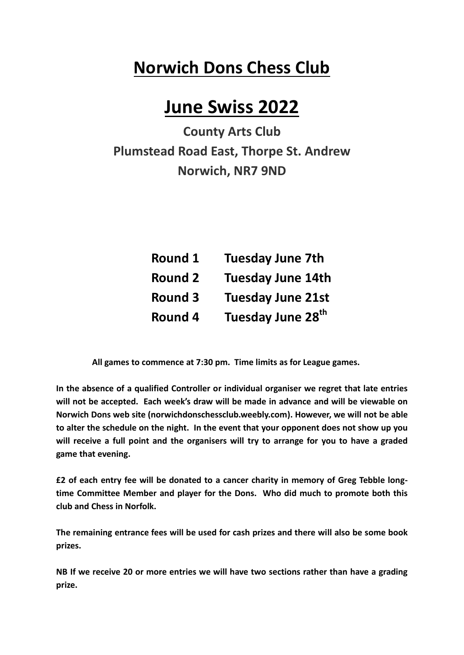## **Norwich Dons Chess Club**

## **June Swiss 2022**

**County Arts Club Plumstead Road East, Thorpe St. Andrew Norwich, NR7 9ND**

| Round 1        | <b>Tuesday June 7th</b>       |
|----------------|-------------------------------|
| <b>Round 2</b> | <b>Tuesday June 14th</b>      |
| <b>Round 3</b> | <b>Tuesday June 21st</b>      |
| Round 4        | Tuesday June 28 <sup>th</sup> |

 **All games to commence at 7:30 pm. Time limits as for League games.**

**In the absence of a qualified Controller or individual organiser we regret that late entries will not be accepted. Each week's draw will be made in advance and will be viewable on Norwich Dons web site (norwichdonschessclub.weebly.com). However, we will not be able to alter the schedule on the night. In the event that your opponent does not show up you will receive a full point and the organisers will try to arrange for you to have a graded game that evening.**

**£2 of each entry fee will be donated to a cancer charity in memory of Greg Tebble longtime Committee Member and player for the Dons. Who did much to promote both this club and Chess in Norfolk.**

**The remaining entrance fees will be used for cash prizes and there will also be some book prizes.**

**NB If we receive 20 or more entries we will have two sections rather than have a grading prize.**